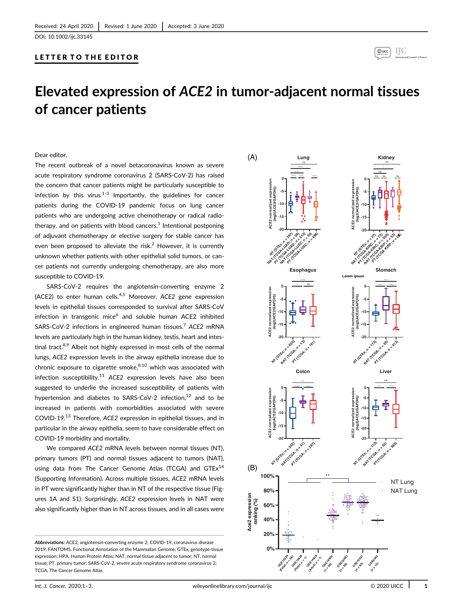DOI: 10.1002/ijc.33145

# LETTER TO THE EDITOR



# Elevated expression of ACE2 in tumor-adjacent normal tissues of cancer patients

#### Dear editor,

The recent outbreak of a novel betacoronavirus known as severe acute respiratory syndrome coronavirus 2 (SARS-CoV-2) has raised the concern that cancer patients might be particularly susceptible to infection by this virus. $1-3$  Importantly, the guidelines for cancer patients during the COVID-19 pandemic focus on lung cancer patients who are undergoing active chemotherapy or radical radiotherapy, and on patients with blood cancers. $<sup>1</sup>$  Intentional postponing</sup> of adjuvant chemotherapy or elective surgery for stable cancer has even been proposed to alleviate the risk.<sup>2</sup> However, it is currently unknown whether patients with other epithelial solid tumors, or cancer patients not currently undergoing chemotherapy, are also more susceptible to COVID-19.

SARS-CoV-2 requires the angiotensin-converting enzyme 2 (ACE2) to enter human cells.<sup>4,5</sup> Moreover, ACE2 gene expression levels in epithelial tissues corresponded to survival after SARS-CoV infection in transgenic mice<sup>6</sup> and soluble human ACE2 inhibited SARS-CoV-2 infections in engineered human tissues.<sup>7</sup> ACE2 mRNA levels are particularly high in the human kidney, testis, heart and intestinal tract.<sup>8,9</sup> Albeit not highly expressed in most cells of the normal lungs, ACE2 expression levels in the airway epithelia increase due to chronic exposure to cigarette smoke, $8,10$  which was associated with infection susceptibility.<sup>11</sup> ACE2 expression levels have also been suggested to underlie the increased susceptibility of patients with hypertension and diabetes to SARS-CoV-2 infection, $12$  and to be increased in patients with comorbidities associated with severe COVID-19.<sup>13</sup> Therefore, ACE2 expression in epithelial tissues, and in particular in the airway epithelia, seem to have considerable effect on COVID-19 morbidity and mortality.

We compared ACE2 mRNA levels between normal tissues (NT), primary tumors (PT) and normal tissues adjacent to tumors (NAT), using data from The Cancer Genome Atlas (TCGA) and  $GTEx^{14}$ (Supporting Information). Across multiple tissues, ACE2 mRNA levels in PT were significantly higher than in NT of the respective tissue (Figures 1A and S1). Surprisingly, ACE2 expression levels in NAT were also significantly higher than in NT across tissues, and in all cases were

Abbreviations: ACE2, angiotensin-converting enzyme 2; COVID-19, coronavirus disease 2019; FANTOM5, Functional Annotation of the Mammalian Genome; GTEx, genotype-tissue expression; HPA, Human Protein Atlas; NAT, normal tissue adjacent to tumor; NT, normal tissue; PT, primary tumor; SARS-CoV-2, severe acute respiratory syndrome coronavirus 2; TCGA, The Cancer Genome Atlas.

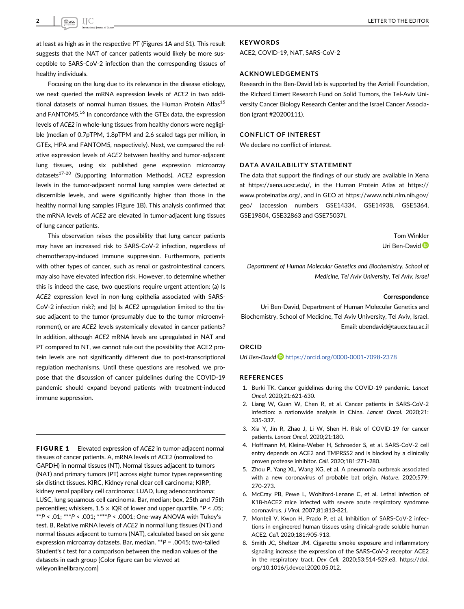at least as high as in the respective PT (Figures 1A and S1). This result suggests that the NAT of cancer patients would likely be more susceptible to SARS-CoV-2 infection than the corresponding tissues of healthy individuals.

Focusing on the lung due to its relevance in the disease etiology, we next queried the mRNA expression levels of ACE2 in two additional datasets of normal human tissues, the Human Protein Atlas<sup>15</sup> and FANTOM5.<sup>16</sup> In concordance with the GTEx data, the expression levels of ACE2 in whole-lung tissues from healthy donors were negligible (median of 0.7pTPM, 1.8pTPM and 2.6 scaled tags per million, in GTEx, HPA and FANTOM5, respectively). Next, we compared the relative expression levels of ACE2 between healthy and tumor-adjacent lung tissues, using six published gene expression microarray datasets<sup>17-20</sup> (Supporting Information Methods). ACE2 expression levels in the tumor-adjacent normal lung samples were detected at discernible levels, and were significantly higher than those in the healthy normal lung samples (Figure 1B). This analysis confirmed that the mRNA levels of ACE2 are elevated in tumor-adjacent lung tissues of lung cancer patients.

This observation raises the possibility that lung cancer patients may have an increased risk to SARS-CoV-2 infection, regardless of chemotherapy-induced immune suppression. Furthermore, patients with other types of cancer, such as renal or gastrointestinal cancers, may also have elevated infection risk. However, to determine whether this is indeed the case, two questions require urgent attention: (a) Is ACE2 expression level in non-lung epithelia associated with SARS-CoV-2 infection risk?; and (b) Is ACE2 upregulation limited to the tissue adjacent to the tumor (presumably due to the tumor microenvironment), or are ACE2 levels systemically elevated in cancer patients? In addition, although ACE2 mRNA levels are upregulated in NAT and PT compared to NT, we cannot rule out the possibility that ACE2 protein levels are not significantly different due to post-transcriptional regulation mechanisms. Until these questions are resolved, we propose that the discussion of cancer guidelines during the COVID-19 pandemic should expand beyond patients with treatment-induced immune suppression.

FIGURE 1 Elevated expression of ACE2 in tumor-adjacent normal tissues of cancer patients. A, mRNA levels of ACE2 (normalized to GAPDH) in normal tissues (NT), Normal tissues adjacent to tumors (NAT) and primary tumors (PT) across eight tumor types representing six distinct tissues. KIRC, Kidney renal clear cell carcinoma; KIRP, kidney renal papillary cell carcinoma; LUAD, lung adenocarcinoma; LUSC, lung squamous cell carcinoma. Bar, median; box, 25th and 75th percentiles; whiskers,  $1.5 \times$  IQR of lower and upper quartile.  $*P < .05$ ; \*\*P < .01; \*\*\*P < .001; \*\*\*\*P < .0001; One-way ANOVA with Tukey's test. B, Relative mRNA levels of ACE2 in normal lung tissues (NT) and normal tissues adjacent to tumors (NAT), calculated based on six gene expression microarray datasets. Bar, median. \*\*P = .0045; two-tailed Student's t test for a comparison between the median values of the datasets in each group [Color figure can be viewed at [wileyonlinelibrary.com](http://wileyonlinelibrary.com)]

# **KEYWORDS**

ACE2, COVID-19, NAT, SARS-CoV-2

## ACKNOWLEDGEMENTS

Research in the Ben-David lab is supported by the Azrieli Foundation, the Richard Eimert Research Fund on Solid Tumors, the Tel-Aviv University Cancer Biology Research Center and the Israel Cancer Association (grant #20200111).

### CONFLICT OF INTEREST

We declare no conflict of interest.

## DATA AVAILABILITY STATEMENT

The data that support the findings of our study are available in Xena at [https://xena.ucsc.edu/,](https://xena.ucsc.edu/) in the Human Protein Atlas at [https://](https://www.proteinatlas.org/) [www.proteinatlas.org/,](https://www.proteinatlas.org/) and in GEO at [https://www.ncbi.nlm.nih.gov/](https://www.ncbi.nlm.nih.gov/geo/) [geo/](https://www.ncbi.nlm.nih.gov/geo/) (accession numbers GSE14334, GSE14938, GSE5364, GSE19804, GSE32863 and GSE75037).

> Tom Winkler Uri Ben-David

Department of Human Molecular Genetics and Biochemistry, School of Medicine, Tel Aviv University, Tel Aviv, Israel

#### Correspondence

Uri Ben-David, Department of Human Molecular Genetics and Biochemistry, School of Medicine, Tel Aviv University, Tel Aviv, Israel. Email: [ubendavid@tauex.tau.ac.il](mailto:ubendavid@tauex.tau.ac.il)

# ORCID

Uri Ben-David D <https://orcid.org/0000-0001-7098-2378>

#### REFERENCES

- 1. Burki TK. Cancer guidelines during the COVID-19 pandemic. Lancet Oncol. 2020;21:621-630.
- 2. Liang W, Guan W, Chen R, et al. Cancer patients in SARS-CoV-2 infection: a nationwide analysis in China. Lancet Oncol. 2020;21: 335-337.
- 3. Xia Y, Jin R, Zhao J, Li W, Shen H. Risk of COVID-19 for cancer patients. Lancet Oncol. 2020;21:180.
- 4. Hoffmann M, Kleine-Weber H, Schroeder S, et al. SARS-CoV-2 cell entry depends on ACE2 and TMPRSS2 and is blocked by a clinically proven protease inhibitor. Cell. 2020;181:271-280.
- 5. Zhou P, Yang XL, Wang XG, et al. A pneumonia outbreak associated with a new coronavirus of probable bat origin. Nature. 2020;579: 270-273.
- 6. McCray PB, Pewe L, Wohlford-Lenane C, et al. Lethal infection of K18-hACE2 mice infected with severe acute respiratory syndrome coronavirus. J Virol. 2007;81:813-821.
- 7. Monteil V, Kwon H, Prado P, et al. Inhibition of SARS-CoV-2 infections in engineered human tissues using clinical-grade soluble human ACE2. Cell. 2020;181:905-913.
- 8. Smith JC, Sheltzer JM. Cigarette smoke exposure and inflammatory signaling increase the expression of the SARS-CoV-2 receptor ACE2 in the respiratory tract. Dev Cell. 2020;53:514-529.e3. [https://doi.](https://doi.org/10.1016/j.devcel.2020.05.012) [org/10.1016/j.devcel.2020.05.012](https://doi.org/10.1016/j.devcel.2020.05.012).